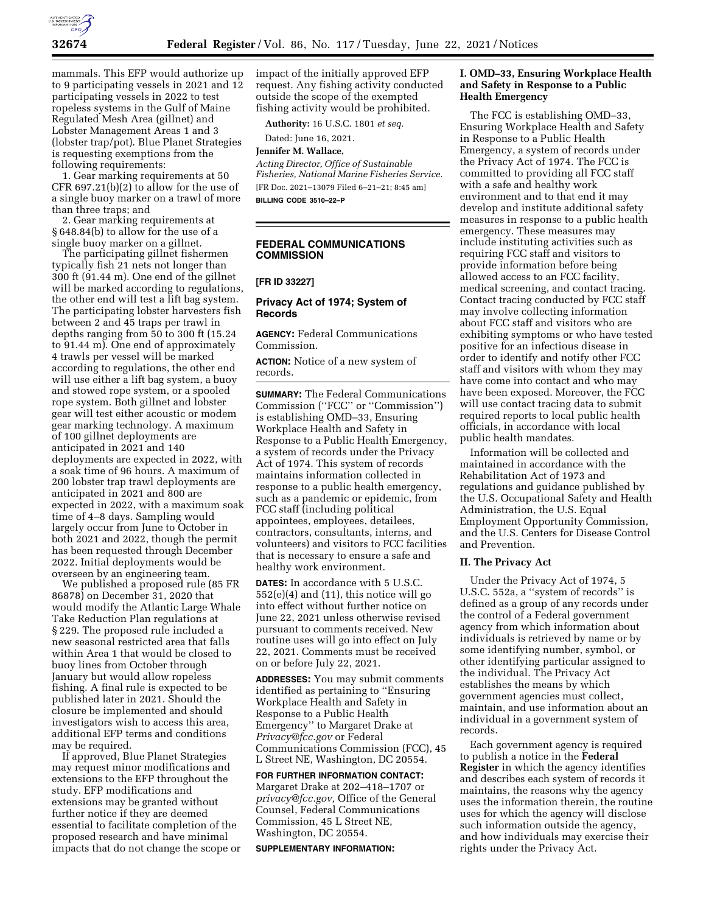

mammals. This EFP would authorize up to 9 participating vessels in 2021 and 12 participating vessels in 2022 to test ropeless systems in the Gulf of Maine Regulated Mesh Area (gillnet) and Lobster Management Areas 1 and 3 (lobster trap/pot). Blue Planet Strategies is requesting exemptions from the following requirements:

1. Gear marking requirements at 50 CFR 697.21(b)(2) to allow for the use of a single buoy marker on a trawl of more than three traps; and

2. Gear marking requirements at § 648.84(b) to allow for the use of a single buoy marker on a gillnet.

The participating gillnet fishermen typically fish 21 nets not longer than 300 ft (91.44 m). One end of the gillnet will be marked according to regulations, the other end will test a lift bag system. The participating lobster harvesters fish between 2 and 45 traps per trawl in depths ranging from 50 to 300 ft (15.24 to 91.44 m). One end of approximately 4 trawls per vessel will be marked according to regulations, the other end will use either a lift bag system, a buoy and stowed rope system, or a spooled rope system. Both gillnet and lobster gear will test either acoustic or modem gear marking technology. A maximum of 100 gillnet deployments are anticipated in 2021 and 140 deployments are expected in 2022, with a soak time of 96 hours. A maximum of 200 lobster trap trawl deployments are anticipated in 2021 and 800 are expected in 2022, with a maximum soak time of 4–8 days. Sampling would largely occur from June to October in both 2021 and 2022, though the permit has been requested through December 2022. Initial deployments would be overseen by an engineering team.

We published a proposed rule (85 FR 86878) on December 31, 2020 that would modify the Atlantic Large Whale Take Reduction Plan regulations at § 229. The proposed rule included a new seasonal restricted area that falls within Area 1 that would be closed to buoy lines from October through January but would allow ropeless fishing. A final rule is expected to be published later in 2021. Should the closure be implemented and should investigators wish to access this area, additional EFP terms and conditions may be required.

If approved, Blue Planet Strategies may request minor modifications and extensions to the EFP throughout the study. EFP modifications and extensions may be granted without further notice if they are deemed essential to facilitate completion of the proposed research and have minimal impacts that do not change the scope or impact of the initially approved EFP request. Any fishing activity conducted outside the scope of the exempted fishing activity would be prohibited.

**Authority:** 16 U.S.C. 1801 *et seq.* 

Dated: June 16, 2021.

**Jennifer M. Wallace,** 

*Acting Director, Office of Sustainable Fisheries, National Marine Fisheries Service.*  [FR Doc. 2021–13079 Filed 6–21–21; 8:45 am] **BILLING CODE 3510–22–P** 

**FEDERAL COMMUNICATIONS COMMISSION** 

#### **[FR ID 33227]**

### **Privacy Act of 1974; System of Records**

**AGENCY:** Federal Communications Commission.

**ACTION:** Notice of a new system of records.

**SUMMARY:** The Federal Communications Commission (''FCC'' or ''Commission'') is establishing OMD–33, Ensuring Workplace Health and Safety in Response to a Public Health Emergency, a system of records under the Privacy Act of 1974. This system of records maintains information collected in response to a public health emergency, such as a pandemic or epidemic, from FCC staff (including political appointees, employees, detailees, contractors, consultants, interns, and volunteers) and visitors to FCC facilities that is necessary to ensure a safe and healthy work environment.

**DATES:** In accordance with 5 U.S.C.  $552(e)(4)$  and  $(11)$ , this notice will go into effect without further notice on June 22, 2021 unless otherwise revised pursuant to comments received. New routine uses will go into effect on July 22, 2021. Comments must be received on or before July 22, 2021.

**ADDRESSES:** You may submit comments identified as pertaining to ''Ensuring Workplace Health and Safety in Response to a Public Health Emergency'' to Margaret Drake at *Privacy@fcc.gov* or Federal Communications Commission (FCC), 45 L Street NE, Washington, DC 20554.

#### **FOR FURTHER INFORMATION CONTACT:**

Margaret Drake at 202–418–1707 or *privacy@fcc.gov,* Office of the General Counsel, Federal Communications Commission, 45 L Street NE, Washington, DC 20554.

**SUPPLEMENTARY INFORMATION:** 

## **I. OMD–33, Ensuring Workplace Health and Safety in Response to a Public Health Emergency**

The FCC is establishing OMD–33, Ensuring Workplace Health and Safety in Response to a Public Health Emergency, a system of records under the Privacy Act of 1974. The FCC is committed to providing all FCC staff with a safe and healthy work environment and to that end it may develop and institute additional safety measures in response to a public health emergency. These measures may include instituting activities such as requiring FCC staff and visitors to provide information before being allowed access to an FCC facility, medical screening, and contact tracing. Contact tracing conducted by FCC staff may involve collecting information about FCC staff and visitors who are exhibiting symptoms or who have tested positive for an infectious disease in order to identify and notify other FCC staff and visitors with whom they may have come into contact and who may have been exposed. Moreover, the FCC will use contact tracing data to submit required reports to local public health officials, in accordance with local public health mandates.

Information will be collected and maintained in accordance with the Rehabilitation Act of 1973 and regulations and guidance published by the U.S. Occupational Safety and Health Administration, the U.S. Equal Employment Opportunity Commission, and the U.S. Centers for Disease Control and Prevention.

## **II. The Privacy Act**

Under the Privacy Act of 1974, 5 U.S.C. 552a, a ''system of records'' is defined as a group of any records under the control of a Federal government agency from which information about individuals is retrieved by name or by some identifying number, symbol, or other identifying particular assigned to the individual. The Privacy Act establishes the means by which government agencies must collect, maintain, and use information about an individual in a government system of records.

Each government agency is required to publish a notice in the **Federal Register** in which the agency identifies and describes each system of records it maintains, the reasons why the agency uses the information therein, the routine uses for which the agency will disclose such information outside the agency, and how individuals may exercise their rights under the Privacy Act.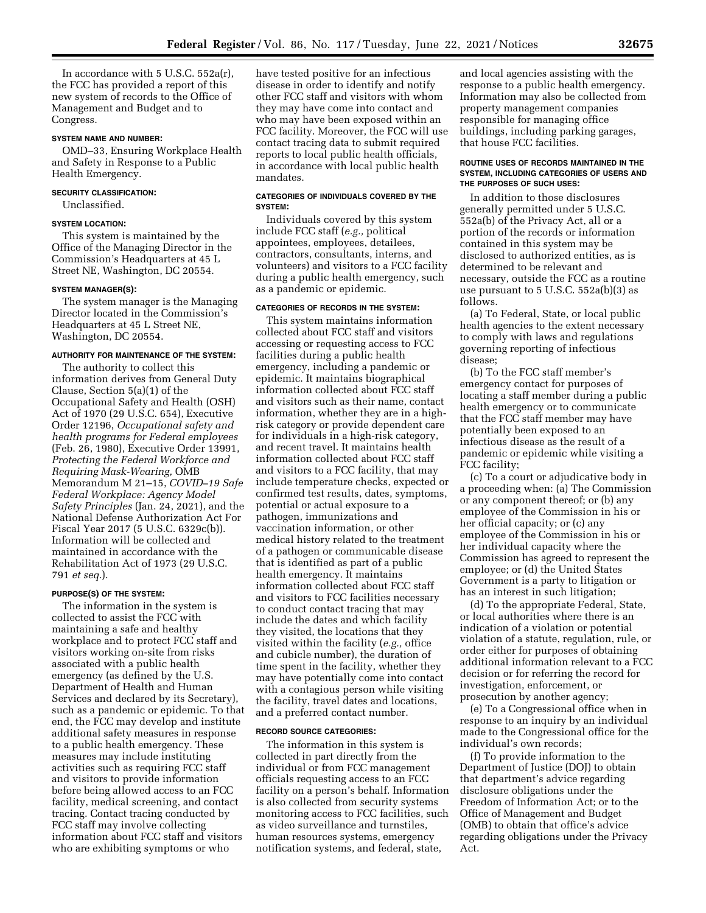In accordance with 5 U.S.C. 552a(r), the FCC has provided a report of this new system of records to the Office of Management and Budget and to Congress.

### **SYSTEM NAME AND NUMBER:**

OMD–33, Ensuring Workplace Health and Safety in Response to a Public Health Emergency.

## **SECURITY CLASSIFICATION:**

Unclassified.

#### **SYSTEM LOCATION:**

This system is maintained by the Office of the Managing Director in the Commission's Headquarters at 45 L Street NE, Washington, DC 20554.

#### **SYSTEM MANAGER(S):**

The system manager is the Managing Director located in the Commission's Headquarters at 45 L Street NE, Washington, DC 20554.

#### **AUTHORITY FOR MAINTENANCE OF THE SYSTEM:**

The authority to collect this information derives from General Duty Clause, Section 5(a)(1) of the Occupational Safety and Health (OSH) Act of 1970 (29 U.S.C. 654), Executive Order 12196, *Occupational safety and health programs for Federal employees*  (Feb. 26, 1980), Executive Order 13991, *Protecting the Federal Workforce and Requiring Mask-Wearing,* OMB Memorandum M 21–15, *COVID–19 Safe Federal Workplace: Agency Model Safety Principles* (Jan. 24, 2021), and the National Defense Authorization Act For Fiscal Year 2017 (5 U.S.C. 6329c(b)). Information will be collected and maintained in accordance with the Rehabilitation Act of 1973 (29 U.S.C. 791 *et seq.*).

#### **PURPOSE(S) OF THE SYSTEM:**

The information in the system is collected to assist the FCC with maintaining a safe and healthy workplace and to protect FCC staff and visitors working on-site from risks associated with a public health emergency (as defined by the U.S. Department of Health and Human Services and declared by its Secretary), such as a pandemic or epidemic. To that end, the FCC may develop and institute additional safety measures in response to a public health emergency. These measures may include instituting activities such as requiring FCC staff and visitors to provide information before being allowed access to an FCC facility, medical screening, and contact tracing. Contact tracing conducted by FCC staff may involve collecting information about FCC staff and visitors who are exhibiting symptoms or who

have tested positive for an infectious disease in order to identify and notify other FCC staff and visitors with whom they may have come into contact and who may have been exposed within an FCC facility. Moreover, the FCC will use contact tracing data to submit required reports to local public health officials, in accordance with local public health mandates.

### **CATEGORIES OF INDIVIDUALS COVERED BY THE SYSTEM:**

Individuals covered by this system include FCC staff (*e.g.,* political appointees, employees, detailees, contractors, consultants, interns, and volunteers) and visitors to a FCC facility during a public health emergency, such as a pandemic or epidemic.

### **CATEGORIES OF RECORDS IN THE SYSTEM:**

This system maintains information collected about FCC staff and visitors accessing or requesting access to FCC facilities during a public health emergency, including a pandemic or epidemic. It maintains biographical information collected about FCC staff and visitors such as their name, contact information, whether they are in a highrisk category or provide dependent care for individuals in a high-risk category, and recent travel. It maintains health information collected about FCC staff and visitors to a FCC facility, that may include temperature checks, expected or confirmed test results, dates, symptoms, potential or actual exposure to a pathogen, immunizations and vaccination information, or other medical history related to the treatment of a pathogen or communicable disease that is identified as part of a public health emergency. It maintains information collected about FCC staff and visitors to FCC facilities necessary to conduct contact tracing that may include the dates and which facility they visited, the locations that they visited within the facility (*e.g.,* office and cubicle number), the duration of time spent in the facility, whether they may have potentially come into contact with a contagious person while visiting the facility, travel dates and locations, and a preferred contact number.

#### **RECORD SOURCE CATEGORIES:**

The information in this system is collected in part directly from the individual or from FCC management officials requesting access to an FCC facility on a person's behalf. Information is also collected from security systems monitoring access to FCC facilities, such as video surveillance and turnstiles, human resources systems, emergency notification systems, and federal, state,

and local agencies assisting with the response to a public health emergency. Information may also be collected from property management companies responsible for managing office buildings, including parking garages, that house FCC facilities.

### **ROUTINE USES OF RECORDS MAINTAINED IN THE SYSTEM, INCLUDING CATEGORIES OF USERS AND THE PURPOSES OF SUCH USES:**

In addition to those disclosures generally permitted under 5 U.S.C. 552a(b) of the Privacy Act, all or a portion of the records or information contained in this system may be disclosed to authorized entities, as is determined to be relevant and necessary, outside the FCC as a routine use pursuant to 5 U.S.C. 552a(b)(3) as follows.

(a) To Federal, State, or local public health agencies to the extent necessary to comply with laws and regulations governing reporting of infectious disease;

(b) To the FCC staff member's emergency contact for purposes of locating a staff member during a public health emergency or to communicate that the FCC staff member may have potentially been exposed to an infectious disease as the result of a pandemic or epidemic while visiting a FCC facility;

(c) To a court or adjudicative body in a proceeding when: (a) The Commission or any component thereof; or (b) any employee of the Commission in his or her official capacity; or (c) any employee of the Commission in his or her individual capacity where the Commission has agreed to represent the employee; or (d) the United States Government is a party to litigation or has an interest in such litigation;

(d) To the appropriate Federal, State, or local authorities where there is an indication of a violation or potential violation of a statute, regulation, rule, or order either for purposes of obtaining additional information relevant to a FCC decision or for referring the record for investigation, enforcement, or prosecution by another agency;

(e) To a Congressional office when in response to an inquiry by an individual made to the Congressional office for the individual's own records;

(f) To provide information to the Department of Justice (DOJ) to obtain that department's advice regarding disclosure obligations under the Freedom of Information Act; or to the Office of Management and Budget (OMB) to obtain that office's advice regarding obligations under the Privacy Act.